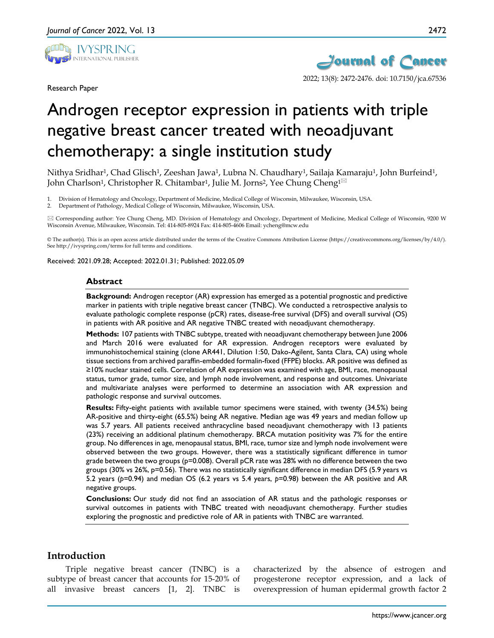

Research Paper



# Androgen receptor expression in patients with triple negative breast cancer treated with neoadjuvant chemotherapy: a single institution study

Nithya Sridhar<sup>1</sup>, Chad Glisch<sup>1</sup>, Zeeshan Jawa<sup>1</sup>, Lubna N. Chaudhary<sup>1</sup>, Sailaja Kamaraju<sup>1</sup>, John Burfeind<sup>1</sup>, John Charlson<sup>1</sup>, Christopher R. Chitambar<sup>1</sup>, Julie M. Jorns<sup>2</sup>, Yee Chung Cheng<sup>1⊠</sup>

1. Division of Hematology and Oncology, Department of Medicine, Medical College of Wisconsin, Milwaukee, Wisconsin, USA.

2. Department of Pathology, Medical College of Wisconsin, Milwaukee, Wisconsin, USA.

 Corresponding author: Yee Chung Cheng, MD. Division of Hematology and Oncology, Department of Medicine, Medical College of Wisconsin, 9200 W Wisconsin Avenue, Milwaukee, Wisconsin. Tel: 414-805-8924 Fax: 414-805-4606 Email: ycheng@mcw.edu

© The author(s). This is an open access article distributed under the terms of the Creative Commons Attribution License (https://creativecommons.org/licenses/by/4.0/). See http://ivyspring.com/terms for full terms and conditions.

Received: 2021.09.28; Accepted: 2022.01.31; Published: 2022.05.09

#### **Abstract**

**Background:** Androgen receptor (AR) expression has emerged as a potential prognostic and predictive marker in patients with triple negative breast cancer (TNBC). We conducted a retrospective analysis to evaluate pathologic complete response (pCR) rates, disease-free survival (DFS) and overall survival (OS) in patients with AR positive and AR negative TNBC treated with neoadjuvant chemotherapy.

**Methods:** 107 patients with TNBC subtype, treated with neoadjuvant chemotherapy between June 2006 and March 2016 were evaluated for AR expression. Androgen receptors were evaluated by immunohistochemical staining (clone AR441, Dilution 1:50, Dako-Agilent, Santa Clara, CA) using whole tissue sections from archived paraffin-embedded formalin-fixed (FFPE) blocks. AR positive was defined as ≥10% nuclear stained cells. Correlation of AR expression was examined with age, BMI, race, menopausal status, tumor grade, tumor size, and lymph node involvement, and response and outcomes. Univariate and multivariate analyses were performed to determine an association with AR expression and pathologic response and survival outcomes.

**Results:** Fifty-eight patients with available tumor specimens were stained, with twenty (34.5%) being AR-positive and thirty-eight (65.5%) being AR negative. Median age was 49 years and median follow up was 5.7 years. All patients received anthracycline based neoadjuvant chemotherapy with 13 patients (23%) receiving an additional platinum chemotherapy. BRCA mutation positivity was 7% for the entire group. No differences in age, menopausal status, BMI, race, tumor size and lymph node involvement were observed between the two groups. However, there was a statistically significant difference in tumor grade between the two groups (p=0.008). Overall pCR rate was 28% with no difference between the two groups (30% vs 26%, p=0.56). There was no statistically significant difference in median DFS (5.9 years vs 5.2 years (*p*=0.94) and median OS (6.2 years vs 5.4 years, *p*=0.98) between the AR positive and AR negative groups.

**Conclusions:** Our study did not find an association of AR status and the pathologic responses or survival outcomes in patients with TNBC treated with neoadjuvant chemotherapy. Further studies exploring the prognostic and predictive role of AR in patients with TNBC are warranted.

## **Introduction**

Triple negative breast cancer (TNBC) is a subtype of breast cancer that accounts for 15-20% of all invasive breast cancers [1, 2]. TNBC is

characterized by the absence of estrogen and progesterone receptor expression, and a lack of overexpression of human epidermal growth factor 2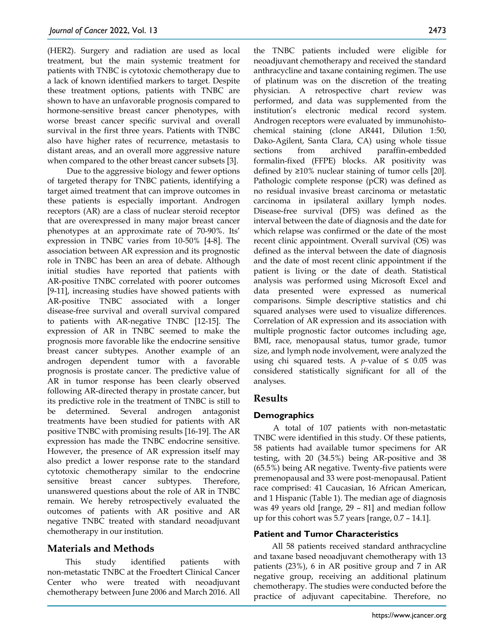(HER2). Surgery and radiation are used as local treatment, but the main systemic treatment for patients with TNBC is cytotoxic chemotherapy due to a lack of known identified markers to target. Despite these treatment options, patients with TNBC are shown to have an unfavorable prognosis compared to hormone-sensitive breast cancer phenotypes, with worse breast cancer specific survival and overall survival in the first three years. Patients with TNBC also have higher rates of recurrence, metastasis to distant areas, and an overall more aggressive nature when compared to the other breast cancer subsets [3].

Due to the aggressive biology and fewer options of targeted therapy for TNBC patients, identifying a target aimed treatment that can improve outcomes in these patients is especially important. Androgen receptors (AR) are a class of nuclear steroid receptor that are overexpressed in many major breast cancer phenotypes at an approximate rate of 70-90%. Its' expression in TNBC varies from 10-50% [4-8]. The association between AR expression and its prognostic role in TNBC has been an area of debate. Although initial studies have reported that patients with AR-positive TNBC correlated with poorer outcomes [9-11], increasing studies have showed patients with AR-positive TNBC associated with a longer disease-free survival and overall survival compared to patients with AR-negative TNBC [12-15]. The expression of AR in TNBC seemed to make the prognosis more favorable like the endocrine sensitive breast cancer subtypes. Another example of an androgen dependent tumor with a favorable prognosis is prostate cancer. The predictive value of AR in tumor response has been clearly observed following AR-directed therapy in prostate cancer, but its predictive role in the treatment of TNBC is still to be determined. Several androgen antagonist treatments have been studied for patients with AR positive TNBC with promising results [16-19]. The AR expression has made the TNBC endocrine sensitive. However, the presence of AR expression itself may also predict a lower response rate to the standard cytotoxic chemotherapy similar to the endocrine sensitive breast cancer subtypes. Therefore, unanswered questions about the role of AR in TNBC remain. We hereby retrospectively evaluated the outcomes of patients with AR positive and AR negative TNBC treated with standard neoadjuvant chemotherapy in our institution.

# **Materials and Methods**

This study identified patients with non-metastatic TNBC at the Froedtert Clinical Cancer Center who were treated with neoadjuvant chemotherapy between June 2006 and March 2016. All

the TNBC patients included were eligible for neoadjuvant chemotherapy and received the standard anthracycline and taxane containing regimen. The use of platinum was on the discretion of the treating physician. A retrospective chart review was performed, and data was supplemented from the institution's electronic medical record system. Androgen receptors were evaluated by immunohistochemical staining (clone AR441, Dilution 1:50, Dako-Agilent, Santa Clara, CA) using whole tissue sections from archived paraffin-embedded formalin-fixed (FFPE) blocks. AR positivity was defined by ≥10% nuclear staining of tumor cells [20]. Pathologic complete response (pCR) was defined as no residual invasive breast carcinoma or metastatic carcinoma in ipsilateral axillary lymph nodes. Disease-free survival (DFS) was defined as the interval between the date of diagnosis and the date for which relapse was confirmed or the date of the most recent clinic appointment. Overall survival (OS) was defined as the interval between the date of diagnosis and the date of most recent clinic appointment if the patient is living or the date of death. Statistical analysis was performed using Microsoft Excel and data presented were expressed as numerical comparisons. Simple descriptive statistics and chi squared analyses were used to visualize differences. Correlation of AR expression and its association with multiple prognostic factor outcomes including age, BMI, race, menopausal status, tumor grade, tumor size, and lymph node involvement, were analyzed the using chi squared tests. A *p*-value of  $\leq 0.05$  was considered statistically significant for all of the analyses.

# **Results**

# **Demographics**

A total of 107 patients with non-metastatic TNBC were identified in this study. Of these patients, 58 patients had available tumor specimens for AR testing, with 20 (34.5%) being AR-positive and 38 (65.5%) being AR negative. Twenty-five patients were premenopausal and 33 were post-menopausal. Patient race comprised: 41 Caucasian, 16 African American, and 1 Hispanic (Table 1). The median age of diagnosis was 49 years old [range, 29 – 81] and median follow up for this cohort was 5.7 years [range, 0.7 – 14.1].

## **Patient and Tumor Characteristics**

All 58 patients received standard anthracycline and taxane based neoadjuvant chemotherapy with 13 patients (23%), 6 in AR positive group and 7 in AR negative group, receiving an additional platinum chemotherapy. The studies were conducted before the practice of adjuvant capecitabine. Therefore, no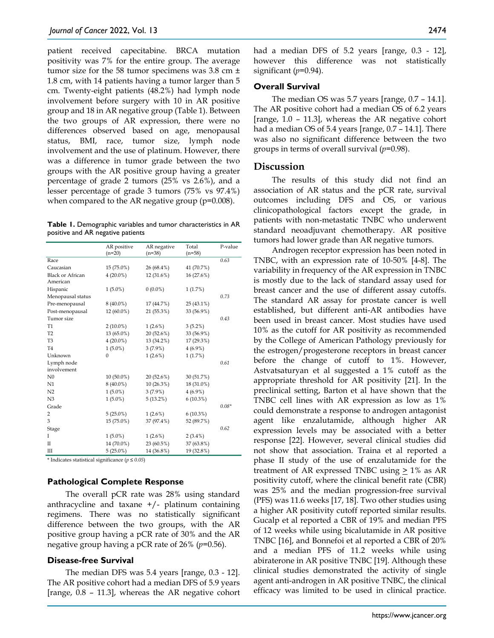patient received capecitabine. BRCA mutation positivity was 7% for the entire group. The average tumor size for the 58 tumor specimens was 3.8 cm ± 1.8 cm, with 14 patients having a tumor larger than 5 cm. Twenty-eight patients (48.2%) had lymph node involvement before surgery with 10 in AR positive group and 18 in AR negative group (Table 1). Between the two groups of AR expression, there were no differences observed based on age, menopausal status, BMI, race, tumor size, lymph node involvement and the use of platinum. However, there was a difference in tumor grade between the two groups with the AR positive group having a greater percentage of grade 2 tumors (25% vs 2.6%), and a lesser percentage of grade 3 tumors (75% vs 97.4%) when compared to the AR negative group (p=0.008).

**Table 1.** Demographic variables and tumor characteristics in AR positive and AR negative patients

|                         | AR positive<br>$(n=20)$ | AR negative<br>$(n=38)$ | Total<br>$(n=58)$ | P-value |
|-------------------------|-------------------------|-------------------------|-------------------|---------|
| Race                    |                         |                         |                   | 0.63    |
| Caucasian               | 15 (75.0%)              | 26 (68.4%)              | 41 (70.7%)        |         |
| <b>Black or African</b> | $4(20.0\%)$             | 12 (31.6%)              | 16 (27.6%)        |         |
| American                |                         |                         |                   |         |
| Hispanic                | $1(5.0\%)$              | $0(0.0\%)$              | 1(1.7%)           |         |
| Menopausal status       |                         |                         |                   | 0.73    |
| Pre-menopausal          | $8(40.0\%)$             | 17 (44.7%)              | 25 (43.1%)        |         |
| Post-menopausal         | 12 (60.0%)              | 21 (55.3%)              | 33 (56.9%)        |         |
| Tumor size              |                         |                         |                   | 0.43    |
| T1                      | $2(10.0\%)$             | $1(2.6\%)$              | 3(5.2%)           |         |
| T <sub>2</sub>          | 13 (65.0%)              | 20 (52.6%)              | 33 (56.9%)        |         |
| T <sub>3</sub>          | $4(20.0\%)$             | 13 (34.2%)              | 17 (29.3%)        |         |
| T <sub>4</sub>          | $1(5.0\%)$              | $3(7.9\%)$              | $4(6.9\%)$        |         |
| Unknown                 | $\theta$                | $1(2.6\%)$              | 1(1.7%)           |         |
| Lymph node              |                         |                         |                   | 0.61    |
| involvement             |                         |                         |                   |         |
| N <sub>0</sub>          | $10(50.0\%)$            | 20 (52.6%)              | 30 (51.7%)        |         |
| N1                      | 8 (40.0%)               | 10(26.3%)               | 18 (31.0%)        |         |
| N2                      | $1(5.0\%)$              | $3(7.9\%)$              | $4(6.9\%)$        |         |
| N <sub>3</sub>          | $1(5.0\%)$              | 5(13.2%)                | $6(10.3\%)$       |         |
| Grade                   |                         |                         |                   | $0.08*$ |
| 2                       | $5(25.0\%)$             | $1(2.6\%)$              | $6(10.3\%)$       |         |
| 3                       | 15 (75.0%)              | 37 (97.4%)              | 52 (89.7%)        |         |
| Stage                   |                         |                         |                   | 0.62    |
| T                       | $1(5.0\%)$              | $1(2.6\%)$              | $2(3.4\%)$        |         |
| Π                       | 14 (70.0%)              | 23 (60.5%)              | 37 (63.8%)        |         |
| Ш                       | $5(25.0\%)$             | 14 (36.8%)              | 19 (32.8%)        |         |

\* Indicates statistical significance (*p ≤ 0.05*)

#### **Pathological Complete Response**

The overall pCR rate was 28% using standard anthracycline and taxane  $+/-$  platinum containing regimens. There was no statistically significant difference between the two groups, with the AR positive group having a pCR rate of 30% and the AR negative group having a pCR rate of 26% (*p*=0.56).

#### **Disease-free Survival**

The median DFS was 5.4 years [range, 0.3 - 12]. The AR positive cohort had a median DFS of 5.9 years [range, 0.8 – 11.3], whereas the AR negative cohort had a median DFS of 5.2 years [range, 0.3 - 12], however this difference was not statistically significant (*p*=0.94).

#### **Overall Survival**

The median OS was 5.7 years [range, 0.7 – 14.1]. The AR positive cohort had a median OS of 6.2 years [range, 1.0 – 11.3], whereas the AR negative cohort had a median OS of 5.4 years [range, 0.7 – 14.1]. There was also no significant difference between the two groups in terms of overall survival (*p*=0.98).

### **Discussion**

The results of this study did not find an association of AR status and the pCR rate, survival outcomes including DFS and OS, or various clinicopathological factors except the grade, in patients with non-metastatic TNBC who underwent standard neoadjuvant chemotherapy. AR positive tumors had lower grade than AR negative tumors.

Androgen receptor expression has been noted in TNBC, with an expression rate of 10-50% [4-8]. The variability in frequency of the AR expression in TNBC is mostly due to the lack of standard assay used for breast cancer and the use of different assay cutoffs. The standard AR assay for prostate cancer is well established, but different anti-AR antibodies have been used in breast cancer. Most studies have used 10% as the cutoff for AR positivity as recommended by the College of American Pathology previously for the estrogen/progesterone receptors in breast cancer before the change of cutoff to 1%. However, Astvatsaturyan et al suggested a 1% cutoff as the appropriate threshold for AR positivity [21]. In the preclinical setting, Barton et al have shown that the TNBC cell lines with AR expression as low as 1% could demonstrate a response to androgen antagonist agent like enzalutamide, although higher AR expression levels may be associated with a better response [22]. However, several clinical studies did not show that association. Traina et al reported a phase II study of the use of enzalutamide for the treatment of AR expressed TNBC using  $\geq 1\%$  as AR positivity cutoff, where the clinical benefit rate (CBR) was 25% and the median progression-free survival (PFS) was 11.6 weeks [17, 18]. Two other studies using a higher AR positivity cutoff reported similar results. Gucalp et al reported a CBR of 19% and median PFS of 12 weeks while using bicalutamide in AR positive TNBC [16], and Bonnefoi et al reported a CBR of 20% and a median PFS of 11.2 weeks while using abiraterone in AR positive TNBC [19]. Although these clinical studies demonstrated the activity of single agent anti-androgen in AR positive TNBC, the clinical efficacy was limited to be used in clinical practice.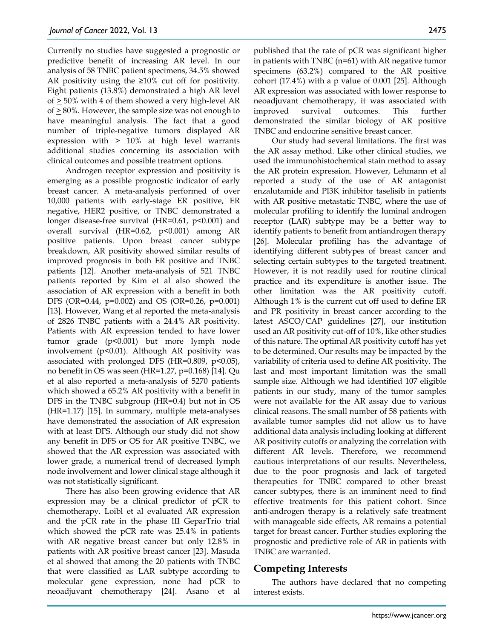Currently no studies have suggested a prognostic or predictive benefit of increasing AR level. In our analysis of 58 TNBC patient specimens, 34.5% showed AR positivity using the ≥10% cut off for positivity. Eight patients (13.8%) demonstrated a high AR level of  $\geq$  50% with 4 of them showed a very high-level AR of  $\geq$  80%. However, the sample size was not enough to have meaningful analysis. The fact that a good number of triple-negative tumors displayed AR expression with > 10% at high level warrants additional studies concerning its association with clinical outcomes and possible treatment options.

Androgen receptor expression and positivity is emerging as a possible prognostic indicator of early breast cancer. A meta-analysis performed of over 10,000 patients with early-stage ER positive, ER negative, HER2 positive, or TNBC demonstrated a longer disease-free survival (HR=0.61, p<0.001) and overall survival (HR=0.62, p<0.001) among AR positive patients. Upon breast cancer subtype breakdown, AR positivity showed similar results of improved prognosis in both ER positive and TNBC patients [12]. Another meta-analysis of 521 TNBC patients reported by Kim et al also showed the association of AR expression with a benefit in both DFS (OR=0.44, p=0.002) and OS (OR=0.26, p=0.001) [13]. However, Wang et al reported the meta-analysis of 2826 TNBC patients with a 24.4% AR positivity. Patients with AR expression tended to have lower tumor grade (p<0.001) but more lymph node involvement (p<0.01). Although AR positivity was associated with prolonged DFS (HR=0.809, p<0.05), no benefit in OS was seen (HR=1.27, p=0.168) [14]. Qu et al also reported a meta-analysis of 5270 patients which showed a 65.2% AR positivity with a benefit in DFS in the TNBC subgroup (HR=0.4) but not in OS (HR=1.17) [15]. In summary, multiple meta-analyses have demonstrated the association of AR expression with at least DFS. Although our study did not show any benefit in DFS or OS for AR positive TNBC, we showed that the AR expression was associated with lower grade, a numerical trend of decreased lymph node involvement and lower clinical stage although it was not statistically significant.

There has also been growing evidence that AR expression may be a clinical predictor of pCR to chemotherapy. Loibl et al evaluated AR expression and the pCR rate in the phase III GeparTrio trial which showed the pCR rate was 25.4% in patients with AR negative breast cancer but only 12.8% in patients with AR positive breast cancer [23]. Masuda et al showed that among the 20 patients with TNBC that were classified as LAR subtype according to molecular gene expression, none had pCR to neoadjuvant chemotherapy [24]. Asano et al

published that the rate of pCR was significant higher in patients with TNBC (n=61) with AR negative tumor specimens (63.2%) compared to the AR positive cohort (17.4%) with a p value of 0.001 [25]. Although AR expression was associated with lower response to neoadjuvant chemotherapy, it was associated with improved survival outcomes. This further demonstrated the similar biology of AR positive TNBC and endocrine sensitive breast cancer.

Our study had several limitations. The first was the AR assay method. Like other clinical studies, we used the immunohistochemical stain method to assay the AR protein expression. However, Lehmann et al reported a study of the use of AR antagonist enzalutamide and PI3K inhibitor taselisib in patients with AR positive metastatic TNBC, where the use of molecular profiling to identify the luminal androgen receptor (LAR) subtype may be a better way to identify patients to benefit from antiandrogen therapy [26]. Molecular profiling has the advantage of identifying different subtypes of breast cancer and selecting certain subtypes to the targeted treatment. However, it is not readily used for routine clinical practice and its expenditure is another issue. The other limitation was the AR positivity cutoff. Although 1% is the current cut off used to define ER and PR positivity in breast cancer according to the latest ASCO/CAP guidelines [27], our institution used an AR positivity cut-off of 10%, like other studies of this nature. The optimal AR positivity cutoff has yet to be determined. Our results may be impacted by the variability of criteria used to define AR positivity. The last and most important limitation was the small sample size. Although we had identified 107 eligible patients in our study, many of the tumor samples were not available for the AR assay due to various clinical reasons. The small number of 58 patients with available tumor samples did not allow us to have additional data analysis including looking at different AR positivity cutoffs or analyzing the correlation with different AR levels. Therefore, we recommend cautious interpretations of our results. Nevertheless, due to the poor prognosis and lack of targeted therapeutics for TNBC compared to other breast cancer subtypes, there is an imminent need to find effective treatments for this patient cohort. Since anti-androgen therapy is a relatively safe treatment with manageable side effects, AR remains a potential target for breast cancer. Further studies exploring the prognostic and predictive role of AR in patients with TNBC are warranted.

# **Competing Interests**

The authors have declared that no competing interest exists.